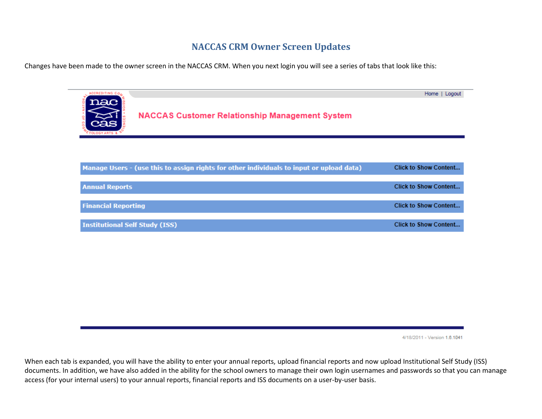## **NACCAS CRM Owner Screen Updates**

Changes have been made to the owner screen in the NACCAS CRM. When you next login you will see a series of tabs that look like this:



4/18/2011 - Version 1.6.1041

When each tab is expanded, you will have the ability to enter your annual reports, upload financial reports and now upload Institutional Self Study (ISS) documents. In addition, we have also added in the ability for the school owners to manage their own login usernames and passwords so that you can manage access (for your internal users) to your annual reports, financial reports and ISS documents on a user-by-user basis.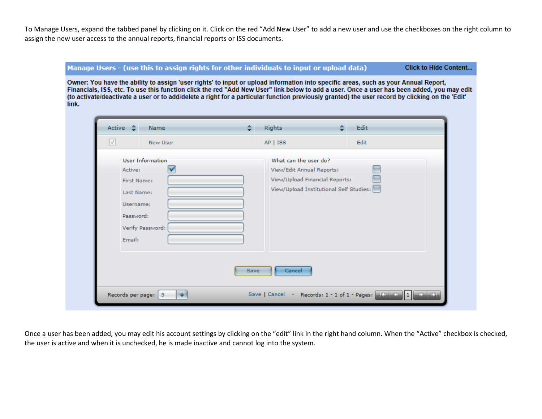To Manage Users, expand the tabbed panel by clicking on it. Click on the red "Add New User" to add a new user and use the checkboxes on the right column to assign the new user access to the annual reports, financial reports or ISS documents.

#### Manage Users - (use this to assign rights for other individuals to input or upload data)

**Click to Hide Content...** 

Owner: You have the ability to assign 'user rights' to input or upload information into specific areas, such as your Annual Report, Financials, ISS, etc. To use this function click the red "Add New User" link below to add a user. Once a user has been added, you may edit (to activate/deactivate a user or to add/delete a right for a particular function previously granted) the user record by clicking on the 'Edit' link.

| User Information<br>What can the user do?<br>View/Edit Annual Reports:<br>Active:<br>View/Upload Financial Reports:<br>First Name:<br>View/Upload Institutional Self Studies:<br>Last Name:<br>Username:<br>Password: | $\sqrt{}$<br>New User | $AP$   ISS | Edit |
|-----------------------------------------------------------------------------------------------------------------------------------------------------------------------------------------------------------------------|-----------------------|------------|------|
| Email:                                                                                                                                                                                                                | Verify Password:      |            |      |

Once a user has been added, you may edit his account settings by clicking on the "edit" link in the right hand column. When the "Active" checkbox is checked, the user is active and when it is unchecked, he is made inactive and cannot log into the system.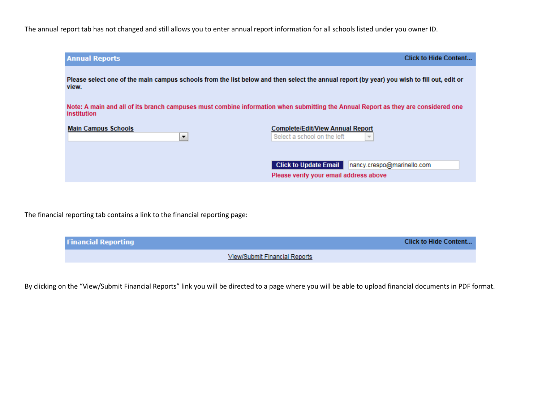The annual report tab has not changed and still allows you to enter annual report information for all schools listed under you owner ID.

| <b>Annual Reports</b>                                                                                                                               | <b>Click to Hide Content</b>                                                                         |
|-----------------------------------------------------------------------------------------------------------------------------------------------------|------------------------------------------------------------------------------------------------------|
| Please select one of the main campus schools from the list below and then select the annual report (by year) you wish to fill out, edit or<br>view. |                                                                                                      |
| Note: A main and all of its branch campuses must combine information when submitting the Annual Report as they are considered one<br>institution    |                                                                                                      |
| <b>Main Campus Schools</b><br>▼                                                                                                                     | <b>Complete/Edit/View Annual Report</b><br>Select a school on the left<br>$\overline{\phantom{m}}$   |
|                                                                                                                                                     | <b>Click to Update Email</b><br>nancy.crespo@marinello.com<br>Please verify your email address above |

The financial reporting tab contains a link to the financial reporting page:

| <b>Financial Reporting</b> | <b>Click to Hide Content</b>         |
|----------------------------|--------------------------------------|
|                            | <b>View/Submit Financial Reports</b> |

By clicking on the "View/Submit Financial Reports" link you will be directed to a page where you will be able to upload financial documents in PDF format.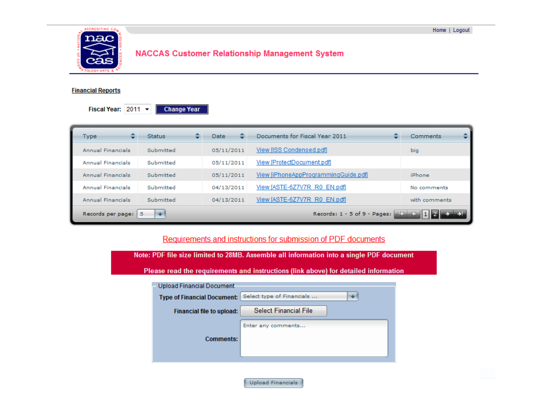

# **NACCAS Customer Relationship Management System**

#### **Financial Reports**

Fiscal Year: 2011 **Change Year** 

| ÷<br>Type                                                              | ۰.<br><b>Status</b> | Date       | Documents for Fiscal Year 2011       | Comments      |
|------------------------------------------------------------------------|---------------------|------------|--------------------------------------|---------------|
| Annual Financials                                                      | Submitted           | 05/11/2011 | View [ISS Condensed.pdf]             | big           |
| Annual Financials                                                      | Submitted           | 05/11/2011 | View [ProtectDocument.pdf]           |               |
| Annual Financials                                                      | Submitted           | 05/11/2011 | View [iPhoneAppProgrammingGuide.pdf] | iPhone        |
| Annual Financials                                                      | Submitted           | 04/13/2011 | View [ASTE-6Z7V7R_R0_EN.pdf]         | No comments   |
| Annual Financials                                                      | Submitted           | 04/13/2011 | View [ASTE-6Z7V7R R0 EN.pdf]         | with comments |
| Records: 1 - 5 of 9 - Pages: 4 4 4 4 4<br>Records per page:<br>⊪≁<br>5 |                     |            |                                      |               |

### Requirements and instructions for submission of PDF documents

| Note: PDF file size limited to 28MB. Assemble all information into a single PDF document |                                                                                     |                              |   |  |
|------------------------------------------------------------------------------------------|-------------------------------------------------------------------------------------|------------------------------|---|--|
|                                                                                          | Please read the requirements and instructions (link above) for detailed information |                              |   |  |
|                                                                                          | Upload Financial Document                                                           |                              |   |  |
|                                                                                          | <b>Type of Financial Document:</b>                                                  | Select type of Financials    | ÷ |  |
|                                                                                          | Financial file to upload:                                                           | <b>Select Financial File</b> |   |  |
|                                                                                          |                                                                                     | Enter any comments           |   |  |
|                                                                                          | <b>Comments:</b>                                                                    |                              |   |  |
|                                                                                          |                                                                                     |                              |   |  |
|                                                                                          |                                                                                     |                              |   |  |

Upload Financials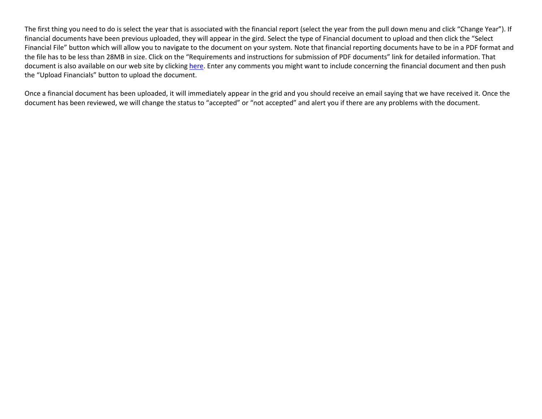The first thing you need to do is select the year that is associated with the financial report (select the year from the pull down menu and click "Change Year"). If financial documents have been previous uploaded, they will appear in the gird. Select the type of Financial document to upload and then click the "Select Financial File" button which will allow you to navigate to the document on your system. Note that financial reporting documents have to be in a PDF format and the file has to be less than 28MB in size. Click on the "Requirements and instructions for submission of PDF documents" link for detailed information. That document is also available on our web site by clickin[g here.](http://naccas.org/Other%20Key%20Documents/Instructions%20for%20submission%20of%20PDF%20documents.pdf) Enter any comments you might want to include concerning the financial document and then push the "Upload Financials" button to upload the document.

Once a financial document has been uploaded, it will immediately appear in the grid and you should receive an email saying that we have received it. Once the document has been reviewed, we will change the status to "accepted" or "not accepted" and alert you if there are any problems with the document.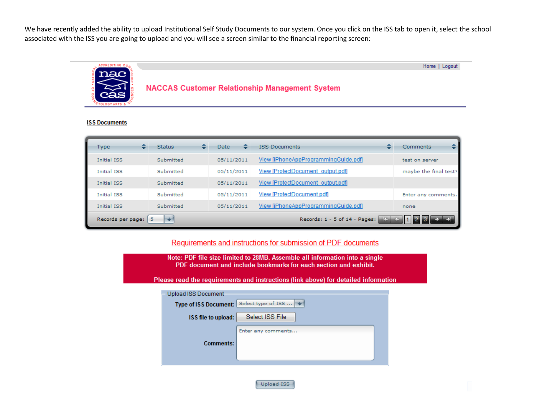We have recently added the ability to upload Institutional Self Study Documents to our system. Once you click on the ISS tab to open it, select the school associated with the ISS you are going to upload and you will see a screen similar to the financial reporting screen:



#### **ISS Documents**

| Type                                                               | <b>Status</b> | Date       | <b>ISS Documents</b>                 | Comments              |
|--------------------------------------------------------------------|---------------|------------|--------------------------------------|-----------------------|
| <b>Initial ISS</b>                                                 | Submitted     | 05/11/2011 | View [iPhoneAppProgrammingGuide.pdf] | test on server        |
| <b>Initial ISS</b>                                                 | Submitted     | 05/11/2011 | View [ProtectDocument output.pdf]    | maybe the final test? |
| <b>Initial ISS</b>                                                 | Submitted     | 05/11/2011 | View [ProtectDocument output.pdf]    |                       |
| <b>Initial ISS</b>                                                 | Submitted     | 05/11/2011 | View [ProtectDocument.pdf]           | Enter any comments.   |
| <b>Initial ISS</b>                                                 | Submitted     | 05/11/2011 | View [iPhoneAppProgrammingGuide.pdf] | none                  |
| Records: 1 - 5 of 14 - Pages:<br>ĸ.<br>Records per page:<br>5<br>₩ |               |            |                                      |                       |

### Requirements and instructions for submission of PDF documents

| Note: PDF file size limited to 28MB. Assemble all information into a single<br>PDF document and include bookmarks for each section and exhibit.<br>Please read the requirements and instructions (link above) for detailed information |                                                     |                    |  |
|----------------------------------------------------------------------------------------------------------------------------------------------------------------------------------------------------------------------------------------|-----------------------------------------------------|--------------------|--|
|                                                                                                                                                                                                                                        | <b>Upload ISS Document</b>                          | Select type of ISS |  |
|                                                                                                                                                                                                                                        | <b>Type of ISS Document:</b><br>ISS file to upload: | Select ISS File    |  |
|                                                                                                                                                                                                                                        | <b>Comments:</b>                                    | Enter any comments |  |